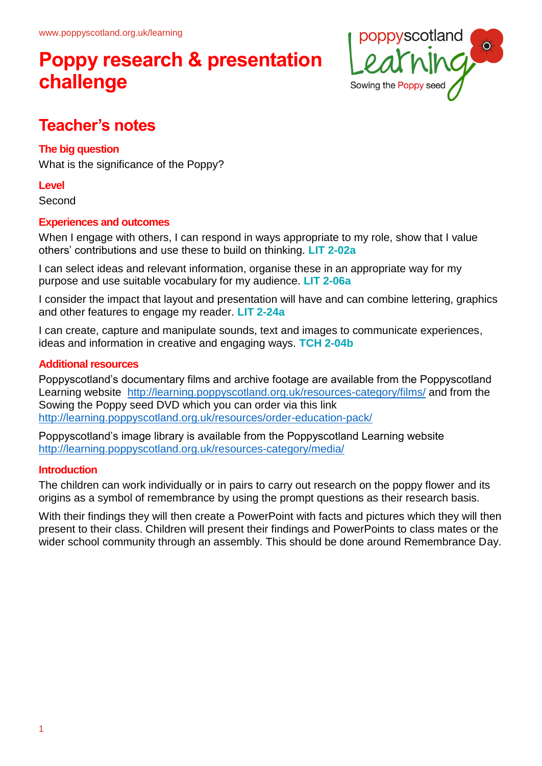## **Poppy research & presentation challenge**



### **Teacher's notes**

### **The big question**

What is the significance of the Poppy?

### **Level**

Second

### **Experiences and outcomes**

When I engage with others, I can respond in ways appropriate to my role, show that I value others' contributions and use these to build on thinking. **LIT 2-02a**

I can select ideas and relevant information, organise these in an appropriate way for my purpose and use suitable vocabulary for my audience. **LIT 2-06a**

I consider the impact that layout and presentation will have and can combine lettering, graphics and other features to engage my reader. **LIT 2-24a**

I can create, capture and manipulate sounds, text and images to communicate experiences, ideas and information in creative and engaging ways. **TCH 2-04b**

### **Additional resources**

Poppyscotland's documentary films and archive footage are available from the Poppyscotland Learning website <http://learning.poppyscotland.org.uk/resources-category/films/> and from the Sowing the Poppy seed DVD which you can order via this link <http://learning.poppyscotland.org.uk/resources/order-education-pack/>

Poppyscotland's image library is available from the Poppyscotland Learning website <http://learning.poppyscotland.org.uk/resources-category/media/>

### **Introduction**

The children can work individually or in pairs to carry out research on the poppy flower and its origins as a symbol of remembrance by using the prompt questions as their research basis.

With their findings they will then create a PowerPoint with facts and pictures which they will then present to their class. Children will present their findings and PowerPoints to class mates or the wider school community through an assembly. This should be done around Remembrance Day.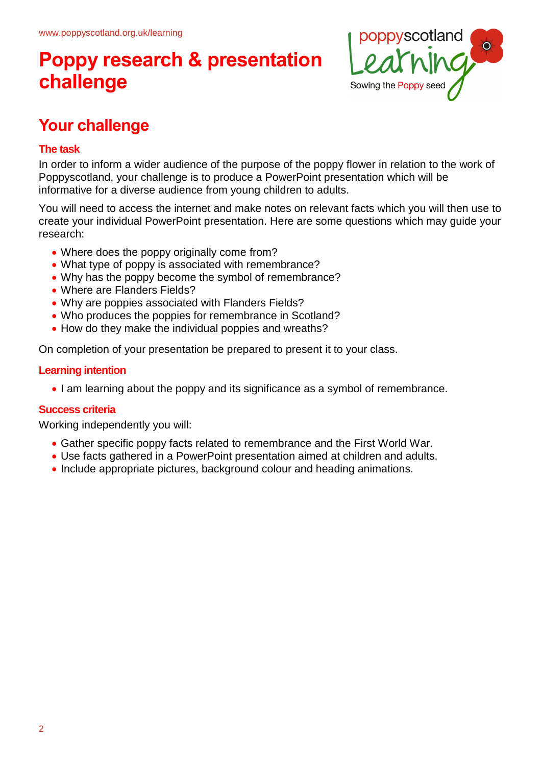## **Poppy research & presentation challenge**



### **Your challenge**

### **The task**

In order to inform a wider audience of the purpose of the poppy flower in relation to the work of Poppyscotland, your challenge is to produce a PowerPoint presentation which will be informative for a diverse audience from young children to adults.

You will need to access the internet and make notes on relevant facts which you will then use to create your individual PowerPoint presentation. Here are some questions which may guide your research:

- Where does the poppy originally come from?
- What type of poppy is associated with remembrance?
- Why has the poppy become the symbol of remembrance?
- Where are Flanders Fields?
- Why are poppies associated with Flanders Fields?
- Who produces the poppies for remembrance in Scotland?
- How do they make the individual poppies and wreaths?

On completion of your presentation be prepared to present it to your class.

### **Learning intention**

I am learning about the poppy and its significance as a symbol of remembrance.

### **Success criteria**

Working independently you will:

- Gather specific poppy facts related to remembrance and the First World War.
- Use facts gathered in a PowerPoint presentation aimed at children and adults.
- Include appropriate pictures, background colour and heading animations.